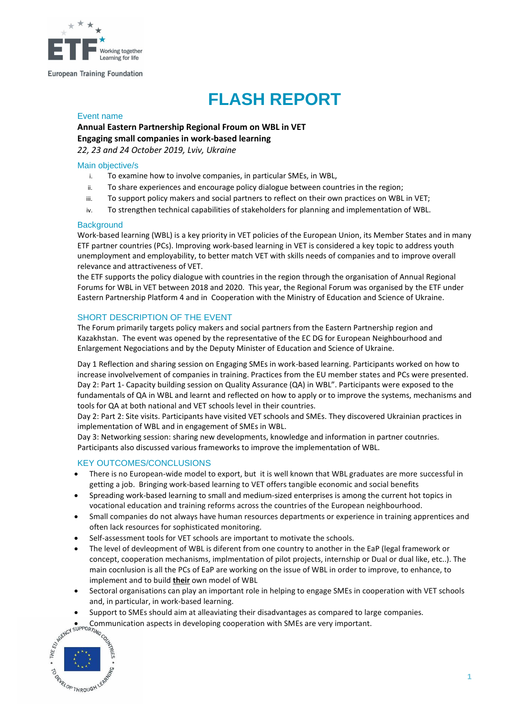

#### **European Training Foundation**

# **FLASH REPORT**

#### Event name

## **Annual Eastern Partnership Regional Froum on WBL in VET Engaging small companies in work-based learning**

*22, 23 and 24 October 2019, Lviv, Ukraine* 

#### Main objective/s

- i. To examine how to involve companies, in particular SMEs, in WBL,
- ii. To share experiences and encourage policy dialogue between countries in the region;
- iii. To support policy makers and social partners to reflect on their own practices on WBL in VET;
- iv. To strengthen technical capabilities of stakeholders for planning and implementation of WBL.

#### **Background**

Work-based learning (WBL) is a key priority in VET policies of the European Union, its Member States and in many ETF partner countries (PCs). Improving work-based learning in VET is considered a key topic to address youth unemployment and employability, to better match VET with skills needs of companies and to improve overall relevance and attractiveness of VET.

the ETF supports the policy dialogue with countries in the region through the organisation of Annual Regional Forums for WBL in VET between 2018 and 2020. This year, the Regional Forum was organised by the ETF under Eastern Partnership Platform 4 and in Cooperation with the Ministry of Education and Science of Ukraine.

### SHORT DESCRIPTION OF THE EVENT

The Forum primarily targets policy makers and social partners from the Eastern Partnership region and Kazakhstan. The event was opened by the representative of the EC DG for European Neighbourhood and Enlargement Negociations and by the Deputy Minister of Education and Science of Ukraine.

Day 1 Reflection and sharing session on Engaging SMEs in work-based learning. Participants worked on how to increase involvelvement of companies in training. Practices from the EU member states and PCs were presented. Day 2: Part 1- Capacity building session on Quality Assurance (QA) in WBL". Participants were exposed to the fundamentals of QA in WBL and learnt and reflected on how to apply or to improve the systems, mechanisms and tools for QA at both national and VET schools level in their countries.

Day 2: Part 2: Site visits. Participants have visited VET schools and SMEs. They discovered Ukrainian practices in implementation of WBL and in engagement of SMEs in WBL.

Day 3: Networking session: sharing new developments, knowledge and information in partner coutnries. Participants also discussed various frameworks to improve the implementation of WBL.

### KEY OUTCOMES/CONCLUSIONS

- There is no European-wide model to export, but it is well known that WBL graduates are more successful in getting a job. Bringing work-based learning to VET offers tangible economic and social benefits
- Spreading [work-based learning](https://www.etf.europa.eu/en/news-and-events/events/eastern-partnership-annual-regional-forum-work-based-learning-vet) to small and medium-sized enterprises is among the current hot topics in vocational education and training reforms across the countries of the European neighbourhood.
- Small companies do not always have human resources departments or experience in training apprentices and often lack resources for sophisticated monitoring.
- Self-assessment tools for VET schools are important to motivate the schools.
- The level of devleopment of WBL is diferent from one country to another in the EaP (legal framework or concept, cooperation mechanisms, implmentation of pilot projects, internship or Dual or dual like, etc..). The main cocnlusion is all the PCs of EaP are working on the issue of WBL in order to improve, to enhance, to implement and to build **their** own model of WBL
- Sectoral organisations can play an important role in helping to engage SMEs in cooperation with VET schools and, in particular, in work-based learning.
- Support to SMEs should aim at alleaviating their disadvantages as compared to large companies.
- **.** Communication aspects in developing cooperation with SMEs are very important.